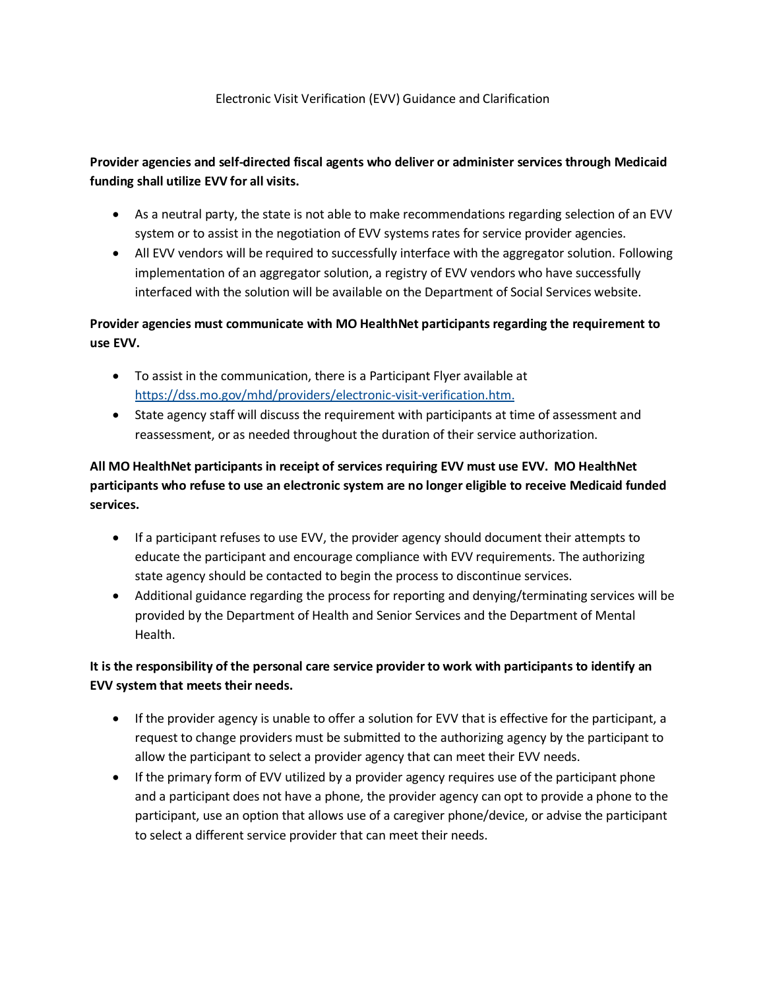#### Electronic Visit Verification (EVV) Guidance and Clarification

#### **funding shall utilize EVV for all visits. Provider agencies and self-directed fiscal agents who deliver or administer services through Medicaid**

- As a neutral party, the state is not able to make recommendations regarding selection of an EVV system or to assist in the negotiation of EVV systems rates for service provider agencies.
- interfaced with the solution will be available on the Department of Social Services website. • All EVV vendors will be required to successfully interface with the aggregator solution. Following implementation of an aggregator solution, a registry of EVV vendors who have successfully

# **Provider agencies must communicate with MO HealthNet participants regarding the requirement to use EVV.**

- To assist in the communication, there is a Participant Flyer available at [https://dss.mo.gov/mhd/providers/electronic-visit-verification.htm.](https://dss.mo.gov/mhd/providers/electronic-visit-verification.htm)
- State agency staff will discuss the requirement with participants at time of assessment and reassessment, or as needed throughout the duration of their service authorization.

# **participants who refuse to use an electronic system are no longer eligible to receive Medicaid funded All MO HealthNet participants in receipt of services requiring EVV must use EVV. MO HealthNet services.**

- educate the participant and encourage compliance with EVV requirements. The authorizing If a participant refuses to use EVV, the provider agency should document their attempts to state agency should be contacted to begin the process to discontinue services.
- Additional guidance regarding the process for reporting and denying/terminating services will be provided by the Department of Health and Senior Services and the Department of Mental Health.

# **It is the responsibility of the personal care service provider to work with participants to identify an EVV system that meets their needs.**

- If the provider agency is unable to offer a solution for EVV that is effective for the participant, a request to change providers must be submitted to the authorizing agency by the participant to allow the participant to select a provider agency that can meet their EVV needs.
- If the primary form of EVV utilized by a provider agency requires use of the participant phone and a participant does not have a phone, the provider agency can opt to provide a phone to the participant, use an option that allows use of a caregiver phone/device, or advise the participant to select a different service provider that can meet their needs.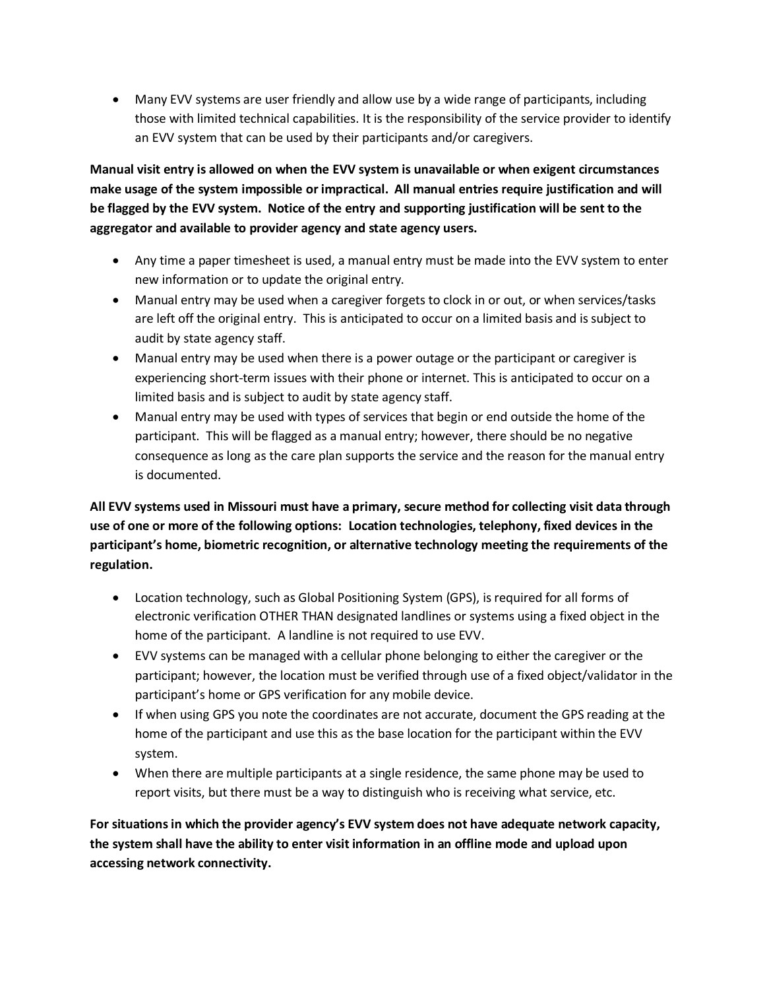Many EVV systems are user friendly and allow use by a wide range of participants, including those with limited technical capabilities. It is the responsibility of the service provider to identify an EVV system that can be used by their participants and/or caregivers.

 **Manual visit entry is allowed on when the EVV system is unavailable or when exigent circumstances make usage of the system impossible or impractical. All manual entries require justification and will be flagged by the EVV system. Notice of the entry and supporting justification will be sent to the aggregator and available to provider agency and state agency users.** 

- Any time a paper timesheet is used, a manual entry must be made into the EVV system to enter new information or to update the original entry.
- are left off the original entry. This is anticipated to occur on a limited basis and is subject to Manual entry may be used when a caregiver forgets to clock in or out, or when services/tasks audit by state agency staff.
- limited basis and is subject to audit by state agency staff. Manual entry may be used when there is a power outage or the participant or caregiver is experiencing short-term issues with their phone or internet. This is anticipated to occur on a
- Manual entry may be used with types of services that begin or end outside the home of the participant. This will be flagged as a manual entry; however, there should be no negative consequence as long as the care plan supports the service and the reason for the manual entry is documented.

 **All EVV systems used in Missouri must have a primary, secure method for collecting visit data through use of one or more of the following options: Location technologies, telephony, fixed devices in the participant's home, biometric recognition, or alternative technology meeting the requirements of the regulation.** 

- home of the participant. A landline is not required to use EVV. Location technology, such as Global Positioning System (GPS), is required for all forms of electronic verification OTHER THAN designated landlines or systems using a fixed object in the
- EVV systems can be managed with a cellular phone belonging to either the caregiver or the participant; however, the location must be verified through use of a fixed object/validator in the participant's home or GPS verification for any mobile device.
- If when using GPS you note the coordinates are not accurate, document the GPS reading at the home of the participant and use this as the base location for the participant within the EVV system.
- report visits, but there must be a way to distinguish who is receiving what service, etc. When there are multiple participants at a single residence, the same phone may be used to

 **For situationsin which the provider agency's EVV system does not have adequate network capacity, the system shall have the ability to enter visit information in an offline mode and upload upon accessing network connectivity.**